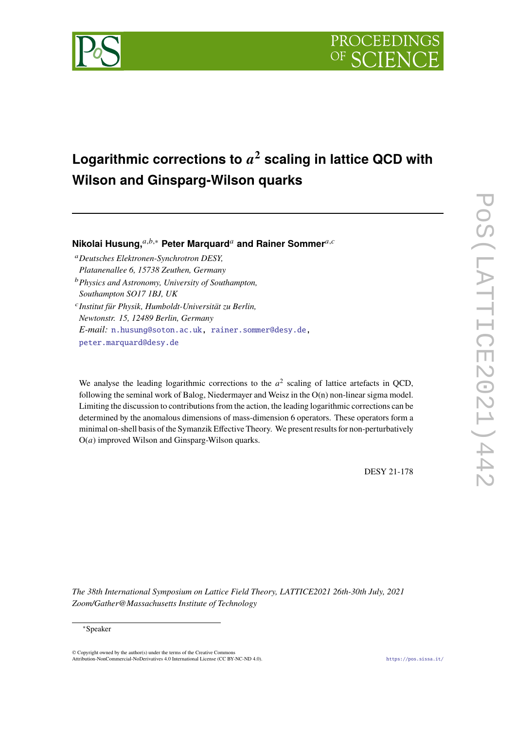

# **Logarithmic corrections to <sup>2</sup> scaling in lattice QCD with Wilson and Ginsparg-Wilson quarks**

**Nikolai Husung,**<sup>a,b,∗</sup> Peter Marguard<sup>a</sup> and Rainer Sommer<sup>a,c</sup>

*Deutsches Elektronen-Synchrotron DESY, Platanenallee 6, 15738 Zeuthen, Germany*

*Physics and Astronomy, University of Southampton, Southampton SO17 1BJ, UK*

 *Institut für Physik, Humboldt-Universität zu Berlin, Newtonstr. 15, 12489 Berlin, Germany E-mail:* [n.husung@soton.ac.uk,](mailto:n.husung@soton.ac.uk) [rainer.sommer@desy.de,](mailto:rainer.sommer@desy.de) [peter.marquard@desy.de](mailto:peter.marquard@desy.de)

We analyse the leading logarithmic corrections to the  $a^2$  scaling of lattice artefacts in QCD, following the seminal work of Balog, Niedermayer and Weisz in the  $O(n)$  non-linear sigma model. Limiting the discussion to contributions from the action, the leading logarithmic corrections can be determined by the anomalous dimensions of mass-dimension 6 operators. These operators form a minimal on-shell basis of the Symanzik Effective Theory. We present results for non-perturbatively  $O(a)$  improved Wilson and Ginsparg-Wilson quarks.

DESY 21-178

POS(LATTICE2021)44 PoS(LATTICE2021)442  $\mathbb{R}^3$ 

*The 38th International Symposium on Lattice Field Theory, LATTICE2021 26th-30th July, 2021 Zoom/Gather@Massachusetts Institute of Technology*

<sup>∗</sup>Speaker

 $\odot$  Copyright owned by the author(s) under the terms of the Creative Common Attribution-NonCommercial-NoDerivatives 4.0 International License (CC BY-NC-ND 4.0). <https://pos.sissa.it/>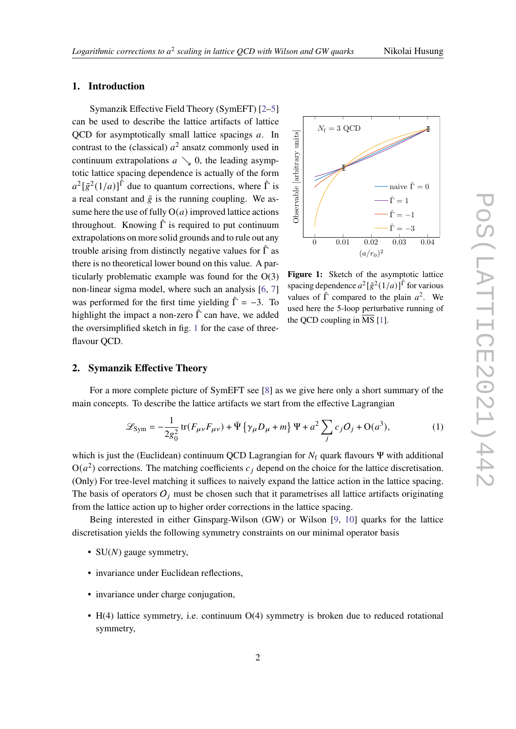## **1. Introduction**

Symanzik Effective Field Theory (SymEFT) [\[2](#page-5-1)[–5\]](#page-5-2) can be used to describe the lattice artifacts of lattice QCD for asymptotically small lattice spacings  $a$ . In contrast to the (classical)  $a^2$  ansatz commonly used in continuum extrapolations  $a \searrow 0$ , the leading asymptotic lattice spacing dependence is actually of the form  $a^2\left[\bar{g}^2(1/a)\right]$ <sup> $\hat{\Gamma}$ </sup> due to quantum corrections, where  $\hat{\Gamma}$  is a real constant and  $\bar{g}$  is the running coupling. We assume here the use of fully  $O(a)$  improved lattice actions throughout. Knowing  $\hat{\Gamma}$  is required to put continuum extrapolations on more solid grounds and to rule out any trouble arising from distinctly negative values for  $\hat{\Gamma}$  as there is no theoretical lower bound on this value. A particularly problematic example was found for the O(3) non-linear sigma model, where such an analysis [\[6,](#page-5-3) [7\]](#page-5-4) was performed for the first time yielding  $\hat{\Gamma} = -3$ . To highlight the impact a non-zero  $\hat{\Gamma}$  can have, we added the oversimplified sketch in fig. [1](#page-1-0) for the case of threeflavour OCD.

<span id="page-1-0"></span>

**Figure 1:** Sketch of the asymptotic lattice spacing dependence  $a^2[\bar{g}^2(1/a)]^{\hat{\Gamma}}$  for various values of  $\hat{\Gamma}$  compared to the plain  $a^2$ . We used here the 5-loop perturbative running of the QCD coupling in  $\overline{\text{MS}}$  [\[1\]](#page-5-0).

# **2. Symanzik Effective Theory**

For a more complete picture of SymEFT see [\[8\]](#page-5-5) as we give here only a short summary of the main concepts. To describe the lattice artifacts we start from the effective Lagrangian

$$
\mathcal{L}_{\text{Sym}} = -\frac{1}{2g_0^2} \text{tr}(F_{\mu\nu}F_{\mu\nu}) + \bar{\Psi}\left\{\gamma_{\mu}D_{\mu} + m\right\}\Psi + a^2 \sum_j c_j O_j + O(a^3),\tag{1}
$$

which is just the (Euclidean) continuum QCD Lagrangian for  $N_f$  quark flavours Ψ with additional  $O(a^2)$  corrections. The matching coefficients  $c_j$  depend on the choice for the lattice discretisation. (Only) For tree-level matching it suffices to naively expand the lattice action in the lattice spacing. The basis of operators  $O_i$  must be chosen such that it parametrises all lattice artifacts originating from the lattice action up to higher order corrections in the lattice spacing.

Being interested in either Ginsparg-Wilson (GW) or Wilson [\[9,](#page-6-0) [10\]](#page-6-1) quarks for the lattice discretisation yields the following symmetry constraints on our minimal operator basis

- SU $(N)$  gauge symmetry,
- invariance under Euclidean reflections,
- invariance under charge conjugation,
- H(4) lattice symmetry, i.e. continuum O(4) symmetry is broken due to reduced rotational symmetry,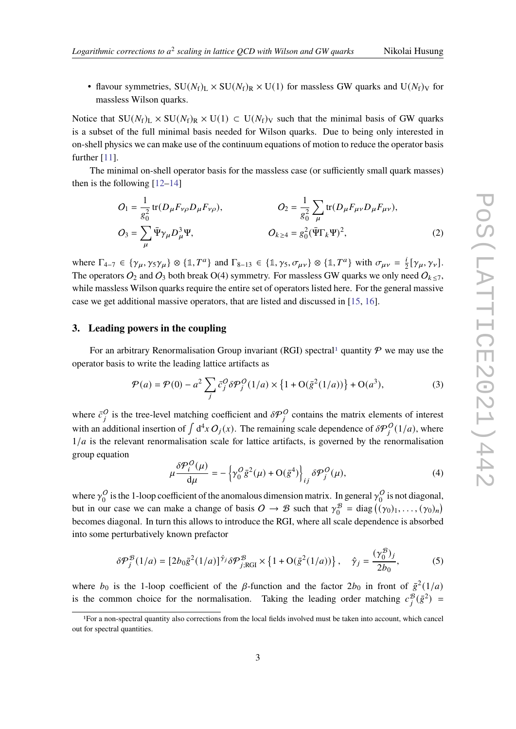• flavour symmetries,  $SU(N_f)_L \times SU(N_f)_R \times U(1)$  for massless GW quarks and  $U(N_f)_V$  for massless Wilson quarks.

Notice that  $SU(N_f)_L \times SU(N_f)_R \times U(1) \subset U(N_f)_V$  such that the minimal basis of GW quarks is a subset of the full minimal basis needed for Wilson quarks. Due to being only interested in on-shell physics we can make use of the continuum equations of motion to reduce the operator basis further [\[11\]](#page-6-2).

The minimal on-shell operator basis for the massless case (or sufficiently small quark masses) then is the following [\[12](#page-6-3)[–14\]](#page-6-4)

<span id="page-2-1"></span>
$$
O_1 = \frac{1}{g_0^2} tr(D_{\mu} F_{\nu \rho} D_{\mu} F_{\nu \rho}), \qquad O_2 = \frac{1}{g_0^2} \sum_{\mu} tr(D_{\mu} F_{\mu \nu} D_{\mu} F_{\mu \nu}),
$$
  
\n
$$
O_3 = \sum_{\mu} \bar{\Psi} \gamma_{\mu} D_{\mu}^3 \Psi, \qquad O_{k \ge 4} = g_0^2 (\bar{\Psi} \Gamma_k \Psi)^2,
$$
\n(2)

where  $\Gamma_{4-7} \in \{\gamma_{\mu}, \gamma_5 \gamma_{\mu}\} \otimes \{1, T^a\}$  and  $\Gamma_{8-13} \in \{1, \gamma_5, \sigma_{\mu\nu}\} \otimes \{1, T^a\}$  with  $\sigma_{\mu\nu} = \frac{i}{2}$  $\frac{i}{2}[\gamma_{\mu}, \gamma_{\nu}].$ The operators  $O_2$  and  $O_3$  both break O(4) symmetry. For massless GW quarks we only need  $O_{k \le 7}$ , while massless Wilson quarks require the entire set of operators listed here. For the general massive case we get additional massive operators, that are listed and discussed in [\[15,](#page-6-5) [16\]](#page-6-6).

#### **3. Leading powers in the coupling**

For an arbitrary Renormalisation Group invariant (RGI) spectral<sup>[1](#page-2-0)</sup> quantity  $P$  we may use the operator basis to write the leading lattice artifacts as

$$
\mathcal{P}(a) = \mathcal{P}(0) - a^2 \sum_{j} \bar{c}_{j}^{O} \delta \mathcal{P}_{j}^{O}(1/a) \times \{1 + O(\bar{g}^{2}(1/a))\} + O(a^3),
$$
\n(3)

where  $\bar{c}_i^O$  is the tree-level matching coefficient and  $\delta \mathcal{P}_i^O$  contains the matrix elements of interest with an additional insertion of  $\int d^4x O_j(x)$ . The remaining scale dependence of  $\delta \mathcal{P}_i^O(1/a)$ , where  $1/a$  is the relevant renormalisation scale for lattice artifacts, is governed by the renormalisation group equation

$$
\mu \frac{\delta \mathcal{P}_i^O(\mu)}{d\mu} = -\left\{ \gamma_0^O \bar{g}^2(\mu) + O(\bar{g}^4) \right\}_{ij} \delta \mathcal{P}_j^O(\mu),\tag{4}
$$

where  $\gamma_0^O$  $\frac{0}{0}$  is the 1-loop coefficient of the anomalous dimension matrix. In general  $\gamma_0^0$  $_{0}^{O}$  is not diagonal, but in our case we can make a change of basis  $O \rightarrow \mathcal{B}$  such that  $\gamma_0^{\mathcal{B}}$  $\sigma_0^{\mathcal{B}} = \text{diag}((\gamma_0)_1, \ldots, (\gamma_0)_n)$ becomes diagonal. In turn this allows to introduce the RGI, where all scale dependence is absorbed into some perturbatively known prefactor

$$
\delta \mathcal{P}_j^{\mathcal{B}}(1/a) = \left[2b_0 \bar{g}^2(1/a)\right]^{\hat{\gamma}_j} \delta \mathcal{P}_{j;\text{RGI}}^{\mathcal{B}} \times \left\{1 + \mathcal{O}(\bar{g}^2(1/a))\right\}, \quad \hat{\gamma}_j = \frac{(\gamma_0^{\mathcal{B}})_j}{2b_0},\tag{5}
$$

where  $b_0$  is the 1-loop coefficient of the  $\beta$ -function and the factor  $2b_0$  in front of  $\bar{g}^2(1/a)$ is the common choice for the normalisation. Taking the leading order matching  $c_j^{\mathcal{B}}(\bar{g}^2)$  =

<span id="page-2-0"></span><sup>1</sup>For a non-spectral quantity also corrections from the local fields involved must be taken into account, which cancel out for spectral quantities.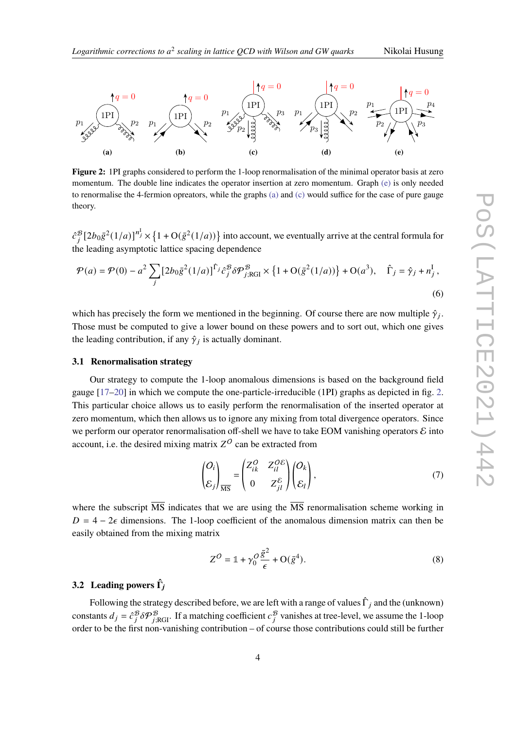<span id="page-3-3"></span>

<span id="page-3-2"></span><span id="page-3-1"></span><span id="page-3-0"></span>**Figure 2:** 1PI graphs considered to perform the 1-loop renormalisation of the minimal operator basis at zero momentum. The double line indicates the operator insertion at zero momentum. Graph [\(e\)](#page-3-0) is only needed to renormalise the 4-fermion opreators, while the graphs [\(a\)](#page-3-1) and [\(c\)](#page-3-2) would suffice for the case of pure gauge theory.

 $\hat{c}_i^{\mathcal{B}}[2b_0\bar{g}^2(1/a)]^{n_j^1} \times \{1+O(\bar{g}^2(1/a))\}$  into account, we eventually arrive at the central formula for the leading asymptotic lattice spacing dependence

$$
\mathcal{P}(a) = \mathcal{P}(0) - a^2 \sum_{j} \left[ 2b_0 \bar{g}^2 (1/a) \right]^{\hat{\Gamma}_j} \hat{c}_j^{\mathcal{B}} \delta \mathcal{P}_{j;\text{RGI}}^{\mathcal{B}} \times \left\{ 1 + \mathcal{O}(\bar{g}^2 (1/a)) \right\} + \mathcal{O}(a^3), \quad \hat{\Gamma}_j = \hat{\gamma}_j + n_j^{\text{I}} \,,
$$
\n(6)

which has precisely the form we mentioned in the beginning. Of course there are now multiple  $\hat{\gamma}_i$ . Those must be computed to give a lower bound on these powers and to sort out, which one gives the leading contribution, if any  $\hat{\gamma}_j$  is actually dominant.

#### **3.1 Renormalisation strategy**

Our strategy to compute the 1-loop anomalous dimensions is based on the background field gauge [\[17–](#page-6-7)[20\]](#page-6-8) in which we compute the one-particle-irreducible (1PI) graphs as depicted in fig. [2.](#page-3-3) This particular choice allows us to easily perform the renormalisation of the inserted operator at zero momentum, which then allows us to ignore any mixing from total divergence operators. Since we perform our operator renormalisation off-shell we have to take EOM vanishing operators  $\mathcal E$  into account, i.e. the desired mixing matrix  $Z^O$  can be extracted from

$$
\begin{pmatrix} O_i \\ \mathcal{E}_j \end{pmatrix}_{\overline{\text{MS}}} = \begin{pmatrix} Z_{ik}^O & Z_{il}^{OE} \\ 0 & Z_{jl}^E \end{pmatrix} \begin{pmatrix} O_k \\ \mathcal{E}_l \end{pmatrix},\tag{7}
$$

where the subscript  $\overline{\text{MS}}$  indicates that we are using the  $\overline{\text{MS}}$  renormalisation scheme working in  $D = 4 - 2\epsilon$  dimensions. The 1-loop coefficient of the anomalous dimension matrix can then be easily obtained from the mixing matrix

$$
Z^O = \mathbb{1} + \gamma_0^O \frac{\bar{g}^2}{\epsilon} + \mathcal{O}(\bar{g}^4). \tag{8}
$$

# **3.2 Leading powers ˆ**

Following the strategy described before, we are left with a range of values  $\hat{\Gamma}_i$  and the (unknown) constants  $d_j = \hat{c}_j^B \delta \mathcal{P}_{j;\text{RGI}}^B$ . If a matching coefficient  $c_j^B$  vanishes at tree-level, we assume the 1-loop order to be the first non-vanishing contribution – of course those contributions could still be further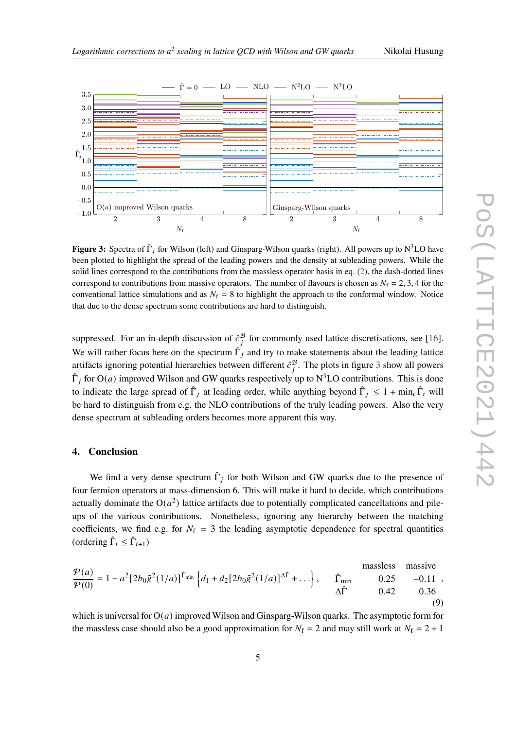<span id="page-4-0"></span>

**Figure 3:** Spectra of  $\hat{\Gamma}_i$  for Wilson (left) and Ginsparg-Wilson quarks (right). All powers up to N<sup>3</sup>LO have been plotted to highlight the spread of the leading powers and the density at subleading powers. While the solid lines correspond to the contributions from the massless operator basis in eq. [\(2\)](#page-2-1), the dash-dotted lines correspond to contributions from massive operators. The number of flavours is chosen as  $N_f = 2, 3, 4$  for the conventional lattice simulations and as  $N_f = 8$  to highlight the approach to the conformal window. Notice that due to the dense spectrum some contributions are hard to distinguish.

suppressed. For an in-depth discussion of  $\hat{c}_i^{\mathcal{B}}$  for commonly used lattice discretisations, see [\[16\]](#page-6-6). We will rather focus here on the spectrum  $\hat{\Gamma}_i$  and try to make statements about the leading lattice artifacts ignoring potential hierarchies between different  $\hat{c}_i^{\mathcal{B}}$ . The plots in figure [3](#page-4-0) show all powers  $\hat{\Gamma}_i$  for  $O(a)$  improved Wilson and GW quarks respectively up to N<sup>3</sup>LO contributions. This is done to indicate the large spread of  $\hat{\Gamma}_i$  at leading order, while anything beyond  $\hat{\Gamma}_i \leq 1 + \min_i \hat{\Gamma}_i$  will be hard to distinguish from e.g. the NLO contributions of the truly leading powers. Also the very dense spectrum at subleading orders becomes more apparent this way.

#### **4. Conclusion**

We find a very dense spectrum  $\hat{\Gamma}_i$  for both Wilson and GW quarks due to the presence of four fermion operators at mass-dimension 6. This will make it hard to decide, which contributions actually dominate the  $O(a^2)$  lattice artifacts due to potentially complicated cancellations and pileups of the various contributions. Nonetheless, ignoring any hierarchy between the matching coefficients, we find e.g. for  $N_f = 3$  the leading asymptotic dependence for spectral quantities (ordering  $\hat{\Gamma}_i \leq \hat{\Gamma}_{i+1}$ )

massless massive  
\n
$$
\frac{\mathcal{P}(a)}{\mathcal{P}(0)} = 1 - a^2 \left[ 2b_0 \bar{g}^2 (1/a) \right]^{\hat{\Gamma}_{\text{min}}} \left\{ d_1 + d_2 \left[ 2b_0 \bar{g}^2 (1/a) \right]^{\hat{\Delta}\hat{\Gamma}} + \dots \right\}, \quad \hat{\Gamma}_{\text{min}} \quad 0.25 \quad -0.11 \quad , \quad \hat{\Delta}\hat{\Gamma} \quad 0.42 \quad 0.36 \quad (9)
$$

which is universal for  $O(a)$  improved Wilson and Ginsparg-Wilson quarks. The asymptotic form for the massless case should also be a good approximation for  $N_f = 2$  and may still work at  $N_f = 2 + 1$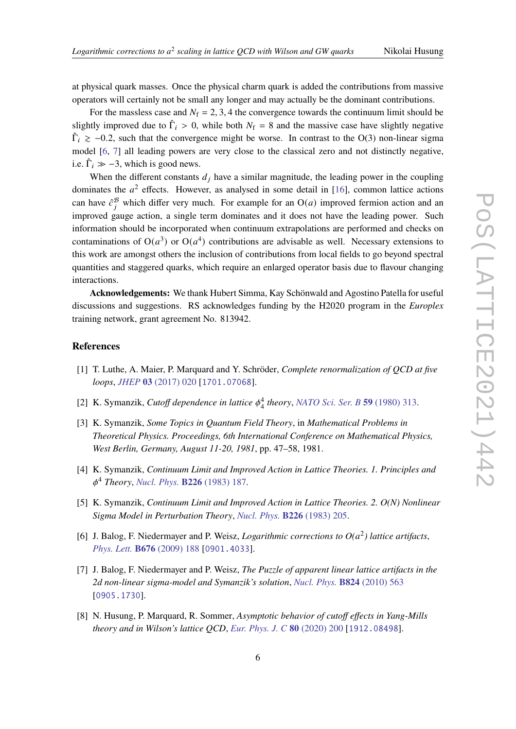at physical quark masses. Once the physical charm quark is added the contributions from massive operators will certainly not be small any longer and may actually be the dominant contributions.

For the massless case and  $N_f = 2, 3, 4$  the convergence towards the continuum limit should be slightly improved due to  $\hat{\Gamma}_i > 0$ , while both  $N_f = 8$  and the massive case have slightly negative  $\hat{\Gamma}_i \geq -0.2$ , such that the convergence might be worse. In contrast to the O(3) non-linear sigma model [\[6,](#page-5-3) [7\]](#page-5-4) all leading powers are very close to the classical zero and not distinctly negative, i.e.  $\hat{\Gamma}_i \gg -3$ , which is good news.

When the different constants  $d_i$  have a similar magnitude, the leading power in the coupling dominates the  $a^2$  effects. However, as analysed in some detail in [\[16\]](#page-6-6), common lattice actions can have  $\hat{c}_i^{\mathcal{B}}$  which differ very much. For example for an  $O(a)$  improved fermion action and an improved gauge action, a single term dominates and it does not have the leading power. Such information should be incorporated when continuum extrapolations are performed and checks on contaminations of  $O(a^3)$  or  $O(a^4)$  contributions are advisable as well. Necessary extensions to this work are amongst others the inclusion of contributions from local fields to go beyond spectral quantities and staggered quarks, which require an enlarged operator basis due to flavour changing interactions.

**Acknowledgements:** We thank Hubert Simma, Kay Schönwald and Agostino Patella for useful discussions and suggestions. RS acknowledges funding by the H2020 program in the *Europlex* training network, grant agreement No. 813942.

# **References**

- <span id="page-5-0"></span>[1] T. Luthe, A. Maier, P. Marquard and Y. Schröder, *Complete renormalization of QCD at five loops*, *JHEP* **03** [\(2017\) 020](https://doi.org/10.1007/JHEP03(2017)020) [[1701.07068](https://arxiv.org/abs/1701.07068)].
- <span id="page-5-1"></span>[2] K. Symanzik, *Cutoff dependence in lattice*  $\phi_4^4$  *theory*, *[NATO Sci. Ser. B](https://doi.org/10.1007/978-1-4684-7571-5_18)* **59** (1980) 313.
- [3] K. Symanzik, *Some Topics in Quantum Field Theory*, in *Mathematical Problems in Theoretical Physics. Proceedings, 6th International Conference on Mathematical Physics, West Berlin, Germany, August 11-20, 1981*, pp. 47–58, 1981.
- [4] K. Symanzik, *Continuum Limit and Improved Action in Lattice Theories. 1. Principles and* <sup>4</sup> *Theory*, *[Nucl. Phys.](https://doi.org/10.1016/0550-3213(83)90468-6)* **B226** (1983) 187.
- <span id="page-5-2"></span>[5] K. Symanzik, *Continuum Limit and Improved Action in Lattice Theories. 2. O(N) Nonlinear Sigma Model in Perturbation Theory*, *Nucl. Phys.* **B226** [\(1983\) 205.](https://doi.org/10.1016/0550-3213(83)90469-8)
- <span id="page-5-3"></span>[6] J. Balog, F. Niedermayer and P. Weisz, *Logarithmic corrections to*  $O(a^2)$  *lattice artifacts*, *Phys. Lett.* **B676** [\(2009\) 188](https://doi.org/10.1016/j.physletb.2009.04.082) [[0901.4033](https://arxiv.org/abs/0901.4033)].
- <span id="page-5-4"></span>[7] J. Balog, F. Niedermayer and P. Weisz, *The Puzzle of apparent linear lattice artifacts in the 2d non-linear sigma-model and Symanzik's solution*, *[Nucl. Phys.](https://doi.org/10.1016/j.nuclphysb.2009.09.007)* **B824** (2010) 563 [[0905.1730](https://arxiv.org/abs/0905.1730)].
- <span id="page-5-5"></span>[8] N. Husung, P. Marquard, R. Sommer, *Asymptotic behavior of cutoff effects in Yang-Mills theory and in Wilson's lattice QCD*, *[Eur. Phys. J. C](https://doi.org/10.1140/epjc/s10052-020-7685-4)* **80** (2020) 200 [[1912.08498](https://arxiv.org/abs/1912.08498)].